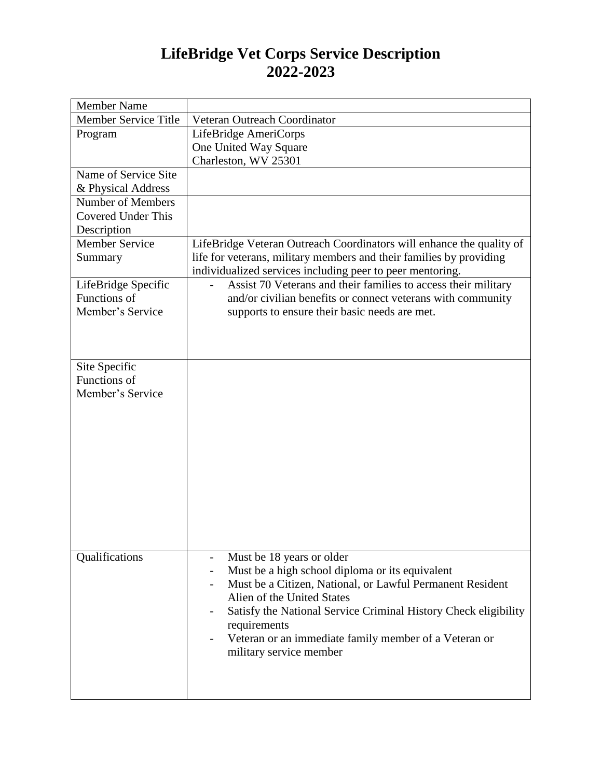## **LifeBridge Vet Corps Service Description 2022-2023**

| <b>Member Name</b>                  |                                                                      |
|-------------------------------------|----------------------------------------------------------------------|
| <b>Member Service Title</b>         | Veteran Outreach Coordinator                                         |
| Program                             | LifeBridge AmeriCorps                                                |
|                                     | One United Way Square                                                |
|                                     | Charleston, WV 25301                                                 |
| Name of Service Site                |                                                                      |
| & Physical Address                  |                                                                      |
| Number of Members                   |                                                                      |
| Covered Under This                  |                                                                      |
| Description                         |                                                                      |
| Member Service                      | LifeBridge Veteran Outreach Coordinators will enhance the quality of |
| Summary                             | life for veterans, military members and their families by providing  |
|                                     | individualized services including peer to peer mentoring.            |
| LifeBridge Specific<br>Functions of | Assist 70 Veterans and their families to access their military       |
| Member's Service                    | and/or civilian benefits or connect veterans with community          |
|                                     | supports to ensure their basic needs are met.                        |
|                                     |                                                                      |
|                                     |                                                                      |
| Site Specific                       |                                                                      |
| Functions of                        |                                                                      |
| Member's Service                    |                                                                      |
|                                     |                                                                      |
|                                     |                                                                      |
|                                     |                                                                      |
|                                     |                                                                      |
|                                     |                                                                      |
|                                     |                                                                      |
|                                     |                                                                      |
|                                     |                                                                      |
|                                     |                                                                      |
|                                     |                                                                      |
|                                     |                                                                      |
| Qualifications                      | Must be 18 years or older                                            |
|                                     | Must be a high school diploma or its equivalent                      |
|                                     | Must be a Citizen, National, or Lawful Permanent Resident            |
|                                     | Alien of the United States                                           |
|                                     | Satisfy the National Service Criminal History Check eligibility      |
|                                     | requirements                                                         |
|                                     | Veteran or an immediate family member of a Veteran or                |
|                                     | military service member                                              |
|                                     |                                                                      |
|                                     |                                                                      |